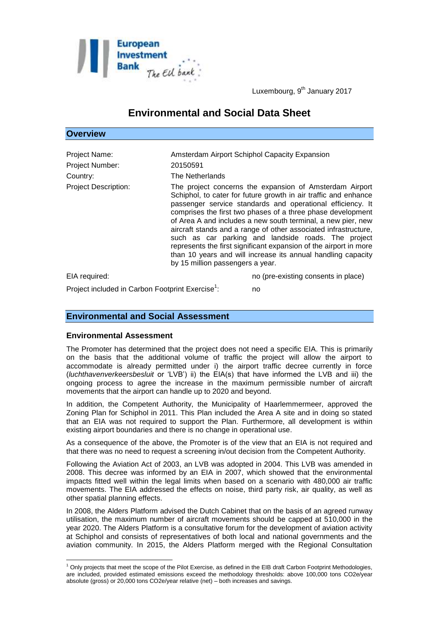

Luxembourg, 9<sup>th</sup> January 2017

# **Environmental and Social Data Sheet**

## **Overview**

| Project Name:<br>Project Number:<br>Country: | Amsterdam Airport Schiphol Capacity Expansion<br>20150591<br>The Netherlands                                                                                                                                                                                                                                                                                                                                                                                                                                                                                                                                               |
|----------------------------------------------|----------------------------------------------------------------------------------------------------------------------------------------------------------------------------------------------------------------------------------------------------------------------------------------------------------------------------------------------------------------------------------------------------------------------------------------------------------------------------------------------------------------------------------------------------------------------------------------------------------------------------|
| <b>Project Description:</b>                  | The project concerns the expansion of Amsterdam Airport<br>Schiphol, to cater for future growth in air traffic and enhance<br>passenger service standards and operational efficiency. It<br>comprises the first two phases of a three phase development<br>of Area A and includes a new south terminal, a new pier, new<br>aircraft stands and a range of other associated infrastructure,<br>such as car parking and landside roads. The project<br>represents the first significant expansion of the airport in more<br>than 10 years and will increase its annual handling capacity<br>by 15 million passengers a year. |
| EIA required:                                | no (pre-existing consents in place)                                                                                                                                                                                                                                                                                                                                                                                                                                                                                                                                                                                        |

: no

Project included in Carbon Footprint Exercise<sup>1</sup>:

## **Environmental and Social Assessment**

## **Environmental Assessment**

1

The Promoter has determined that the project does not need a specific EIA. This is primarily on the basis that the additional volume of traffic the project will allow the airport to accommodate is already permitted under i) the airport traffic decree currently in force (*luchthavenverkeersbesluit* or 'LVB') ii) the EIA(s) that have informed the LVB and iii) the ongoing process to agree the increase in the maximum permissible number of aircraft movements that the airport can handle up to 2020 and beyond.

In addition, the Competent Authority, the Municipality of Haarlemmermeer, approved the Zoning Plan for Schiphol in 2011. This Plan included the Area A site and in doing so stated that an EIA was not required to support the Plan. Furthermore, all development is within existing airport boundaries and there is no change in operational use.

As a consequence of the above, the Promoter is of the view that an EIA is not required and that there was no need to request a screening in/out decision from the Competent Authority.

Following the Aviation Act of 2003, an LVB was adopted in 2004. This LVB was amended in 2008. This decree was informed by an EIA in 2007, which showed that the environmental impacts fitted well within the legal limits when based on a scenario with 480,000 air traffic movements. The EIA addressed the effects on noise, third party risk, air quality, as well as other spatial planning effects.

In 2008, the Alders Platform advised the Dutch Cabinet that on the basis of an agreed runway utilisation, the maximum number of aircraft movements should be capped at 510,000 in the year 2020. The Alders Platform is a consultative forum for the development of aviation activity at Schiphol and consists of representatives of both local and national governments and the aviation community. In 2015, the Alders Platform merged with the Regional Consultation

 $1$  Only projects that meet the scope of the Pilot Exercise, as defined in the EIB draft Carbon Footprint Methodologies, are included, provided estimated emissions exceed the methodology thresholds: above 100,000 tons CO2e/year absolute (gross) or 20,000 tons CO2e/year relative (net) – both increases and savings.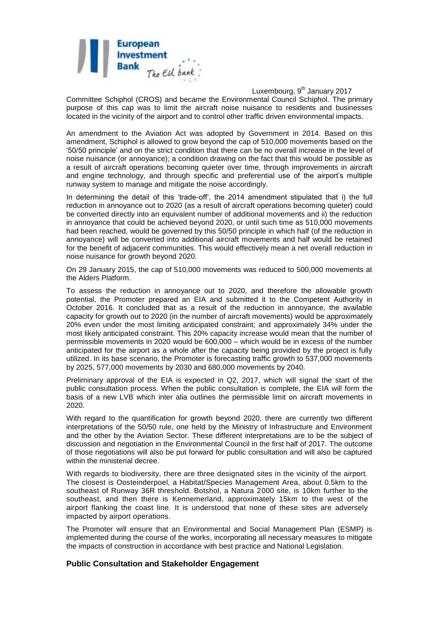

Luxembourg, 9<sup>th</sup> January 2017

Committee Schiphol (CROS) and became the Environmental Council Schiphol. The primary purpose of this cap was to limit the aircraft noise nuisance to residents and businesses located in the vicinity of the airport and to control other traffic driven environmental impacts.

An amendment to the Aviation Act was adopted by Government in 2014. Based on this amendment, Schiphol is allowed to grow beyond the cap of 510,000 movements based on the '50/50 principle' and on the strict condition that there can be no overall increase in the level of noise nuisance (or annoyance); a condition drawing on the fact that this would be possible as a result of aircraft operations becoming quieter over time, through improvements in aircraft and engine technology, and through specific and preferential use of the airport's multiple runway system to manage and mitigate the noise accordingly.

In determining the detail of this 'trade-off', the 2014 amendment stipulated that i) the full reduction in annoyance out to 2020 (as a result of aircraft operations becoming quieter) could be converted directly into an equivalent number of additional movements and ii) the reduction in annoyance that could be achieved beyond 2020, or until such time as 510,000 movements had been reached, would be governed by this 50/50 principle in which half (of the reduction in annoyance) will be converted into additional aircraft movements and half would be retained for the benefit of adjacent communities. This would effectively mean a net overall reduction in noise nuisance for growth beyond 2020.

On 29 January 2015, the cap of 510,000 movements was reduced to 500,000 movements at the Alders Platform.

To assess the reduction in annoyance out to 2020, and therefore the allowable growth potential, the Promoter prepared an EIA and submitted it to the Competent Authority in October 2016. It concluded that as a result of the reduction in annoyance, the available capacity for growth out to 2020 (in the number of aircraft movements) would be approximately 20% even under the most limiting anticipated constraint; and approximately 34% under the most likely anticipated constraint. This 20% capacity increase would mean that the number of permissible movements in 2020 would be 600,000 – which would be in excess of the number anticipated for the airport as a whole after the capacity being provided by the project is fully utilized. In its base scenario, the Promoter is forecasting traffic growth to 537,000 movements by 2025, 577,000 movements by 2030 and 680,000 movements by 2040.

Preliminary approval of the EIA is expected in Q2, 2017, which will signal the start of the public consultation process. When the public consultation is complete, the EIA will form the basis of a new LVB which inter alia outlines the permissible limit on aircraft movements in 2020.

With regard to the quantification for growth beyond 2020, there are currently two different interpretations of the 50/50 rule, one held by the Ministry of Infrastructure and Environment and the other by the Aviation Sector. These different interpretations are to be the subject of discussion and negotiation in the Environmental Council in the first half of 2017. The outcome of those negotiations will also be put forward for public consultation and will also be captured within the ministerial decree.

With regards to biodiversity, there are three designated sites in the vicinity of the airport. The closest is Oosteinderpoel, a Habitat/Species Management Area, about 0.5km to the southeast of Runway 36R threshold. Botshol, a Natura 2000 site, is 10km further to the southeast, and then there is Kennemerland, approximately 15km to the west of the airport flanking the coast line. It is understood that none of these sites are adversely impacted by airport operations.

The Promoter will ensure that an Environmental and Social Management Plan (ESMP) is implemented during the course of the works, incorporating all necessary measures to mitigate the impacts of construction in accordance with best practice and National Legislation.

## **Public Consultation and Stakeholder Engagement**